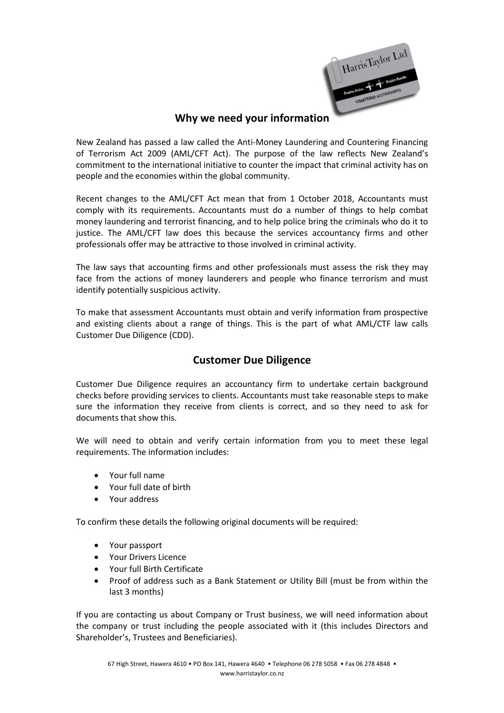

## **Why we need your information**

New Zealand has passed a law called the Anti-Money Laundering and Countering Financing of Terrorism Act 2009 (AML/CFT Act). The purpose of the law reflects New Zealand's commitment to the international initiative to counter the impact that criminal activity has on people and the economies within the global community.

Recent changes to the AML/CFT Act mean that from 1 October 2018, Accountants must comply with its requirements. Accountants must do a number of things to help combat money laundering and terrorist financing, and to help police bring the criminals who do it to justice. The AML/CFT law does this because the services accountancy firms and other professionals offer may be attractive to those involved in criminal activity.

The law says that accounting firms and other professionals must assess the risk they may face from the actions of money launderers and people who finance terrorism and must identify potentially suspicious activity.

To make that assessment Accountants must obtain and verify information from prospective and existing clients about a range of things. This is the part of what AML/CTF law calls Customer Due Diligence (CDD).

## **Customer Due Diligence**

Customer Due Diligence requires an accountancy firm to undertake certain background checks before providing services to clients. Accountants must take reasonable steps to make sure the information they receive from clients is correct, and so they need to ask for documents that show this.

We will need to obtain and verify certain information from you to meet these legal requirements. The information includes:

- Your full name
- Your full date of birth
- Your address

To confirm these details the following original documents will be required:

- Your passport
- Your Drivers Licence
- Your full Birth Certificate
- Proof of address such as a Bank Statement or Utility Bill (must be from within the last 3 months)

If you are contacting us about Company or Trust business, we will need information about the company or trust including the people associated with it (this includes Directors and Shareholder's, Trustees and Beneficiaries).